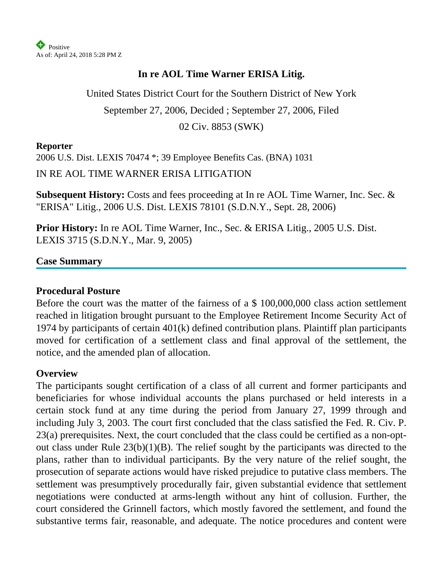

#### **In re AOL Time Warner ERISA Litig.**

United States District Court for the Southern District of New York September 27, 2006, Decided ; September 27, 2006, Filed 02 Civ. 8853 (SWK)

#### **Reporter**

2006 U.S. Dist. LEXIS 70474 \*; 39 Employee Benefits Cas. (BNA) 1031

IN RE AOL TIME WARNER ERISA LITIGATION

**Subsequent History:** Costs and fees proceeding at In re AOL Time Warner, Inc. Sec. & "ERISA" Litig., 2006 U.S. Dist. LEXIS 78101 (S.D.N.Y., Sept. 28, 2006)

**Prior History:** In re AOL Time Warner, Inc., Sec. & ERISA Litig., 2005 U.S. Dist. LEXIS 3715 (S.D.N.Y., Mar. 9, 2005)

#### **Case Summary**

#### **Procedural Posture**

Before the court was the matter of the fairness of a \$ 100,000,000 class action settlement reached in litigation brought pursuant to the Employee Retirement Income Security Act of 1974 by participants of certain 401(k) defined contribution plans. Plaintiff plan participants moved for certification of a settlement class and final approval of the settlement, the notice, and the amended plan of allocation.

#### **Overview**

The participants sought certification of a class of all current and former participants and beneficiaries for whose individual accounts the plans purchased or held interests in a certain stock fund at any time during the period from January 27, 1999 through and including July 3, 2003. The court first concluded that the class satisfied the Fed. R. Civ. P. 23(a) prerequisites. Next, the court concluded that the class could be certified as a non-optout class under Rule 23(b)(1)(B). The relief sought by the participants was directed to the plans, rather than to individual participants. By the very nature of the relief sought, the prosecution of separate actions would have risked prejudice to putative class members. The settlement was presumptively procedurally fair, given substantial evidence that settlement negotiations were conducted at arms-length without any hint of collusion. Further, the court considered the Grinnell factors, which mostly favored the settlement, and found the substantive terms fair, reasonable, and adequate. The notice procedures and content were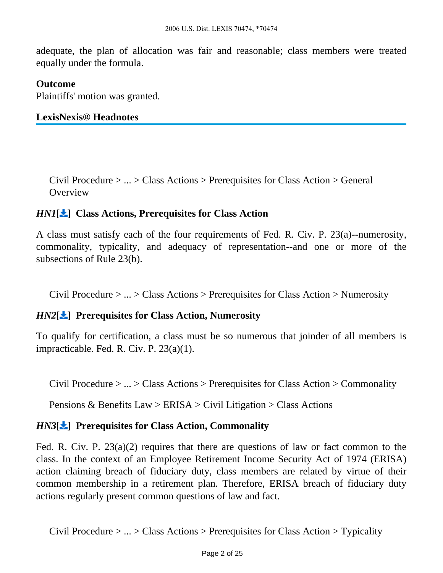adequate, the plan of allocation was fair and reasonable; class members were treated equally under the formula.

#### **Outcome**

Plaintiffs' motion was granted.

#### **LexisNexis® Headnotes**

<span id="page-1-0"></span>Civil Procedure > ... > Class Actions > Prerequisites for Class Action > General **Overview** 

#### *HN1*[ ] **Class Actions, Prerequisites for Class Action**

A class must satisfy each of the four requirements of Fed. R. Civ. P. 23(a)--numerosity, commonality, typicality, and adequacy of representation--and one or more of the subsections of Rule 23(b).

Civil Procedure > ... > Class Actions > Prerequisites for Class Action > Numerosity

#### *HN2*[ ] **Prerequisites for Class Action, Numerosity**

To qualify for certification, a class must be so numerous that joinder of all members is impracticable. Fed. R. Civ. P. 23(a)(1).

Civil Procedure > ... > Class Actions > Prerequisites for Class Action > Commonality

Pensions & Benefits Law > ERISA > Civil Litigation > Class Actions

#### *HN3*[ $\angle$ ] Prerequisites for Class Action, Commonality

Fed. R. Civ. P. 23(a)(2) requires that there are questions of law or fact common to the class. In the context of an Employee Retirement Income Security Act of 1974 (ERISA) action claiming breach of fiduciary duty, class members are related by virtue of their common membership in a retirement plan. Therefore, ERISA breach of fiduciary duty actions regularly present common questions of law and fact.

Civil Procedure  $> ... > Class$  Actions  $>$  Prerequisites for Class Action  $>$  Typicality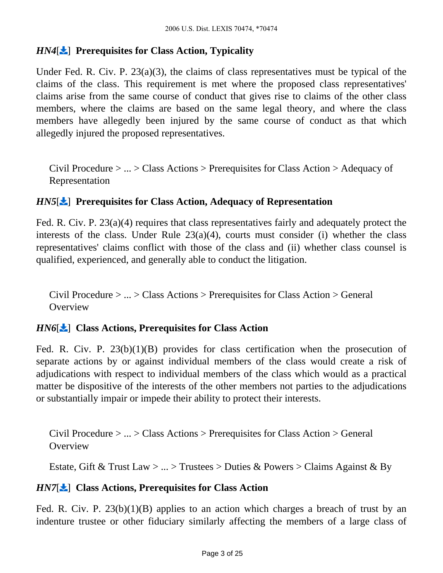# *HN4*[ ] **Prerequisites for Class Action, Typicality**

Under Fed. R. Civ. P. 23(a)(3), the claims of class representatives must be typical of the claims of the class. This requirement is met where the proposed class representatives' claims arise from the same course of conduct that gives rise to claims of the other class members, where the claims are based on the same legal theory, and where the class members have allegedly been injured by the same course of conduct as that which allegedly injured the proposed representatives.

Civil Procedure > ... > Class Actions > Prerequisites for Class Action > Adequacy of Representation

### *HN5*[ $\angle$ ] Prerequisites for Class Action, Adequacy of Representation

Fed. R. Civ. P. 23(a)(4) requires that class representatives fairly and adequately protect the interests of the class. Under Rule  $23(a)(4)$ , courts must consider (i) whether the class representatives' claims conflict with those of the class and (ii) whether class counsel is qualified, experienced, and generally able to conduct the litigation.

Civil Procedure > ... > Class Actions > Prerequisites for Class Action > General **Overview** 

## *HN6*[ ] **Class Actions, Prerequisites for Class Action**

Fed. R. Civ. P. 23(b)(1)(B) provides for class certification when the prosecution of separate actions by or against individual members of the class would create a risk of adjudications with respect to individual members of the class which would as a practical matter be dispositive of the interests of the other members not parties to the adjudications or substantially impair or impede their ability to protect their interests.

Civil Procedure > ... > Class Actions > Prerequisites for Class Action > General **Overview** 

Estate, Gift & Trust Law  $> ...$  > Trustees > Duties & Powers > Claims Against & By

#### *HN7*[ ] **Class Actions, Prerequisites for Class Action**

Fed. R. Civ. P. 23(b)(1)(B) applies to an action which charges a breach of trust by an indenture trustee or other fiduciary similarly affecting the members of a large class of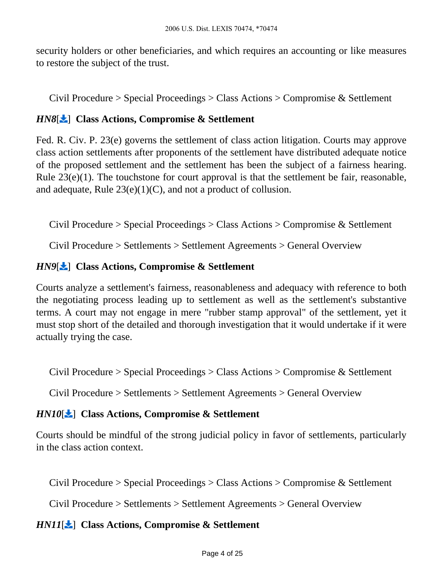security holders or other beneficiaries, and which requires an accounting or like measures to restore the subject of the trust.

Civil Procedure > Special Proceedings > Class Actions > Compromise & Settlement

# *HN8*[ ] **Class Actions, Compromise & Settlement**

Fed. R. Civ. P. 23(e) governs the settlement of class action litigation. Courts may approve class action settlements after proponents of the settlement have distributed adequate notice of the proposed settlement and the settlement has been the subject of a fairness hearing. Rule  $23(e)(1)$ . The touchstone for court approval is that the settlement be fair, reasonable, and adequate, Rule 23(e)(1)(C), and not a product of collusion.

Civil Procedure > Special Proceedings > Class Actions > Compromise & Settlement

Civil Procedure > Settlements > Settlement Agreements > General Overview

## *HN9*[ $\bigstar$ ] Class Actions, Compromise & Settlement

Courts analyze a settlement's fairness, reasonableness and adequacy with reference to both the negotiating process leading up to settlement as well as the settlement's substantive terms. A court may not engage in mere "rubber stamp approval" of the settlement, yet it must stop short of the detailed and thorough investigation that it would undertake if it were actually trying the case.

<span id="page-3-0"></span>Civil Procedure > Special Proceedings > Class Actions > Compromise & Settlement

Civil Procedure > Settlements > Settlement Agreements > General Overview

## *HN10*[ ] **Class Actions, Compromise & Settlement**

Courts should be mindful of the strong judicial policy in favor of settlements, particularly in the class action context.

Civil Procedure > Special Proceedings > Class Actions > Compromise & Settlement

Civil Procedure > Settlements > Settlement Agreements > General Overview

## *HN11*[ ] **Class Actions, Compromise & Settlement**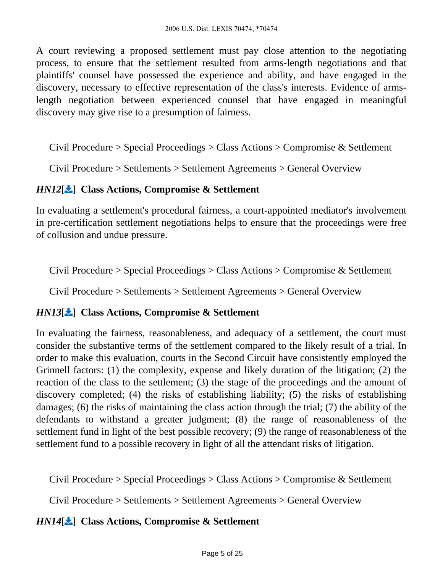A court reviewing a proposed settlement must pay close attention to the negotiating process, to ensure that the settlement resulted from arms-length negotiations and that plaintiffs' counsel have possessed the experience and ability, and have engaged in the discovery, necessary to effective representation of the class's interests. Evidence of armslength negotiation between experienced counsel that have engaged in meaningful discovery may give rise to a presumption of fairness.

Civil Procedure > Special Proceedings > Class Actions > Compromise & Settlement

Civil Procedure > Settlements > Settlement Agreements > General Overview

### *HN12*[ ] **Class Actions, Compromise & Settlement**

In evaluating a settlement's procedural fairness, a court-appointed mediator's involvement in pre-certification settlement negotiations helps to ensure that the proceedings were free of collusion and undue pressure.

Civil Procedure > Special Proceedings > Class Actions > Compromise & Settlement

Civil Procedure > Settlements > Settlement Agreements > General Overview

#### *HN13*[ ] **Class Actions, Compromise & Settlement**

In evaluating the fairness, reasonableness, and adequacy of a settlement, the court must consider the substantive terms of the settlement compared to the likely result of a trial. In order to make this evaluation, courts in the Second Circuit have consistently employed the Grinnell factors: (1) the complexity, expense and likely duration of the litigation; (2) the reaction of the class to the settlement; (3) the stage of the proceedings and the amount of discovery completed; (4) the risks of establishing liability; (5) the risks of establishing damages; (6) the risks of maintaining the class action through the trial; (7) the ability of the defendants to withstand a greater judgment; (8) the range of reasonableness of the settlement fund in light of the best possible recovery; (9) the range of reasonableness of the settlement fund to a possible recovery in light of all the attendant risks of litigation.

Civil Procedure > Special Proceedings > Class Actions > Compromise & Settlement

Civil Procedure > Settlements > Settlement Agreements > General Overview

## *HN14*[ ] **Class Actions, Compromise & Settlement**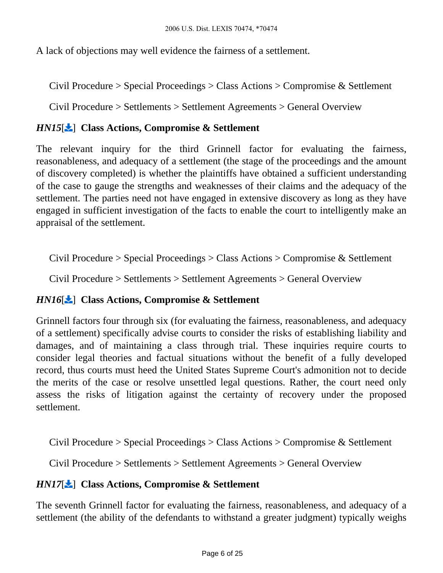<span id="page-5-0"></span>A lack of objections may well evidence the fairness of a settlement.

Civil Procedure > Special Proceedings > Class Actions > Compromise & Settlement

Civil Procedure > Settlements > Settlement Agreements > General Overview

## *HN15*[ ] **Class Actions, Compromise & Settlement**

The relevant inquiry for the third Grinnell factor for evaluating the fairness, reasonableness, and adequacy of a settlement (the stage of the proceedings and the amount of discovery completed) is whether the plaintiffs have obtained a sufficient understanding of the case to gauge the strengths and weaknesses of their claims and the adequacy of the settlement. The parties need not have engaged in extensive discovery as long as they have engaged in sufficient investigation of the facts to enable the court to intelligently make an appraisal of the settlement.

Civil Procedure > Special Proceedings > Class Actions > Compromise & Settlement

Civil Procedure > Settlements > Settlement Agreements > General Overview

## *HN16*[ ] **Class Actions, Compromise & Settlement**

Grinnell factors four through six (for evaluating the fairness, reasonableness, and adequacy of a settlement) specifically advise courts to consider the risks of establishing liability and damages, and of maintaining a class through trial. These inquiries require courts to consider legal theories and factual situations without the benefit of a fully developed record, thus courts must heed the United States Supreme Court's admonition not to decide the merits of the case or resolve unsettled legal questions. Rather, the court need only assess the risks of litigation against the certainty of recovery under the proposed settlement.

Civil Procedure > Special Proceedings > Class Actions > Compromise & Settlement

Civil Procedure > Settlements > Settlement Agreements > General Overview

## *HN17*[ ] **Class Actions, Compromise & Settlement**

The seventh Grinnell factor for evaluating the fairness, reasonableness, and adequacy of a settlement (the ability of the defendants to withstand a greater judgment) typically weighs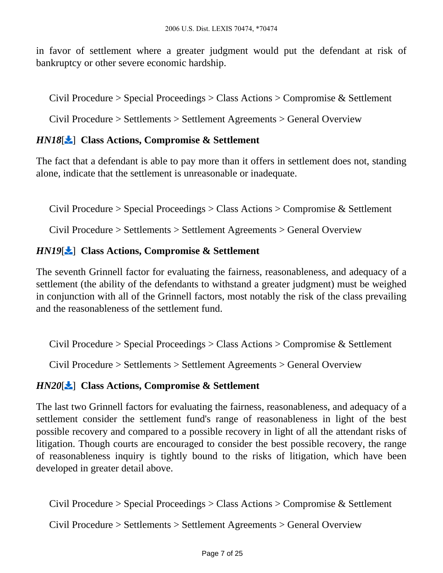in favor of settlement where a greater judgment would put the defendant at risk of bankruptcy or other severe economic hardship.

Civil Procedure > Special Proceedings > Class Actions > Compromise & Settlement

Civil Procedure > Settlements > Settlement Agreements > General Overview

### *HN18*[ ] **Class Actions, Compromise & Settlement**

The fact that a defendant is able to pay more than it offers in settlement does not, standing alone, indicate that the settlement is unreasonable or inadequate.

Civil Procedure > Special Proceedings > Class Actions > Compromise & Settlement

Civil Procedure > Settlements > Settlement Agreements > General Overview

### *HN19*[ ] **Class Actions, Compromise & Settlement**

The seventh Grinnell factor for evaluating the fairness, reasonableness, and adequacy of a settlement (the ability of the defendants to withstand a greater judgment) must be weighed in conjunction with all of the Grinnell factors, most notably the risk of the class prevailing and the reasonableness of the settlement fund.

Civil Procedure > Special Proceedings > Class Actions > Compromise & Settlement

Civil Procedure > Settlements > Settlement Agreements > General Overview

#### *HN20*[ ] **Class Actions, Compromise & Settlement**

The last two Grinnell factors for evaluating the fairness, reasonableness, and adequacy of a settlement consider the settlement fund's range of reasonableness in light of the best possible recovery and compared to a possible recovery in light of all the attendant risks of litigation. Though courts are encouraged to consider the best possible recovery, the range of reasonableness inquiry is tightly bound to the risks of litigation, which have been developed in greater detail above.

Civil Procedure > Special Proceedings > Class Actions > Compromise & Settlement

Civil Procedure > Settlements > Settlement Agreements > General Overview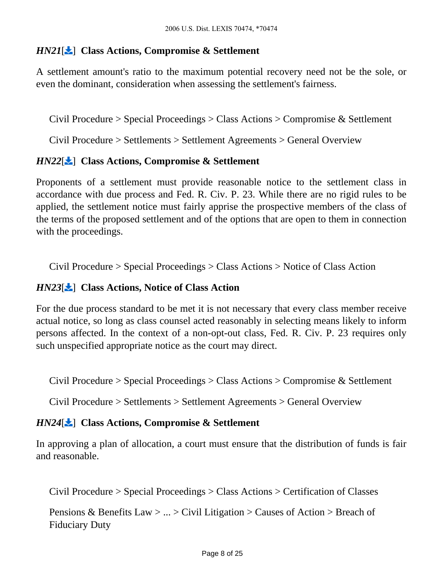#### *HN21*[ ] **Class Actions, Compromise & Settlement**

A settlement amount's ratio to the maximum potential recovery need not be the sole, or even the dominant, consideration when assessing the settlement's fairness.

Civil Procedure > Special Proceedings > Class Actions > Compromise & Settlement

Civil Procedure > Settlements > Settlement Agreements > General Overview

#### *HN22*[ ] **Class Actions, Compromise & Settlement**

Proponents of a settlement must provide reasonable notice to the settlement class in accordance with due process and Fed. R. Civ. P. 23. While there are no rigid rules to be applied, the settlement notice must fairly apprise the prospective members of the class of the terms of the proposed settlement and of the options that are open to them in connection with the proceedings.

Civil Procedure > Special Proceedings > Class Actions > Notice of Class Action

#### *HN23*[ ] **Class Actions, Notice of Class Action**

For the due process standard to be met it is not necessary that every class member receive actual notice, so long as class counsel acted reasonably in selecting means likely to inform persons affected. In the context of a non-opt-out class, Fed. R. Civ. P. 23 requires only such unspecified appropriate notice as the court may direct.

Civil Procedure > Special Proceedings > Class Actions > Compromise & Settlement

Civil Procedure > Settlements > Settlement Agreements > General Overview

#### *HN24*[ ] **Class Actions, Compromise & Settlement**

In approving a plan of allocation, a court must ensure that the distribution of funds is fair and reasonable.

Civil Procedure > Special Proceedings > Class Actions > Certification of Classes

Pensions & Benefits Law  $> ... >$  Civil Litigation  $>$  Causes of Action  $>$  Breach of Fiduciary Duty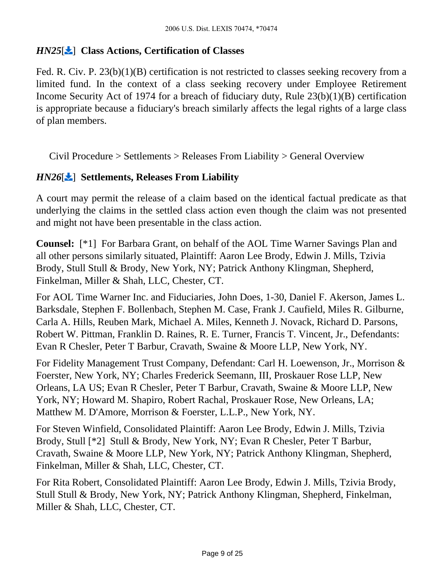#### *HN25*[ ] **Class Actions, Certification of Classes**

Fed. R. Civ. P. 23(b)(1)(B) certification is not restricted to classes seeking recovery from a limited fund. In the context of a class seeking recovery under Employee Retirement Income Security Act of 1974 for a breach of fiduciary duty, Rule 23(b)(1)(B) certification is appropriate because a fiduciary's breach similarly affects the legal rights of a large class of plan members.

Civil Procedure > Settlements > Releases From Liability > General Overview

## *HN26*[ ] **Settlements, Releases From Liability**

A court may permit the release of a claim based on the identical factual predicate as that underlying the claims in the settled class action even though the claim was not presented and might not have been presentable in the class action.

**Counsel:** [\*1] For Barbara Grant, on behalf of the AOL Time Warner Savings Plan and all other persons similarly situated, Plaintiff: Aaron Lee Brody, Edwin J. Mills, Tzivia Brody, Stull Stull & Brody, New York, NY; Patrick Anthony Klingman, Shepherd, Finkelman, Miller & Shah, LLC, Chester, CT.

For AOL Time Warner Inc. and Fiduciaries, John Does, 1-30, Daniel F. Akerson, James L. Barksdale, Stephen F. Bollenbach, Stephen M. Case, Frank J. Caufield, Miles R. Gilburne, Carla A. Hills, Reuben Mark, Michael A. Miles, Kenneth J. Novack, Richard D. Parsons, Robert W. Pittman, Franklin D. Raines, R. E. Turner, Francis T. Vincent, Jr., Defendants: Evan R Chesler, Peter T Barbur, Cravath, Swaine & Moore LLP, New York, NY.

For Fidelity Management Trust Company, Defendant: Carl H. Loewenson, Jr., Morrison & Foerster, New York, NY; Charles Frederick Seemann, III, Proskauer Rose LLP, New Orleans, LA US; Evan R Chesler, Peter T Barbur, Cravath, Swaine & Moore LLP, New York, NY; Howard M. Shapiro, Robert Rachal, Proskauer Rose, New Orleans, LA; Matthew M. D'Amore, Morrison & Foerster, L.L.P., New York, NY.

For Steven Winfield, Consolidated Plaintiff: Aaron Lee Brody, Edwin J. Mills, Tzivia Brody, Stull [\*2] Stull & Brody, New York, NY; Evan R Chesler, Peter T Barbur, Cravath, Swaine & Moore LLP, New York, NY; Patrick Anthony Klingman, Shepherd, Finkelman, Miller & Shah, LLC, Chester, CT.

For Rita Robert, Consolidated Plaintiff: Aaron Lee Brody, Edwin J. Mills, Tzivia Brody, Stull Stull & Brody, New York, NY; Patrick Anthony Klingman, Shepherd, Finkelman, Miller & Shah, LLC, Chester, CT.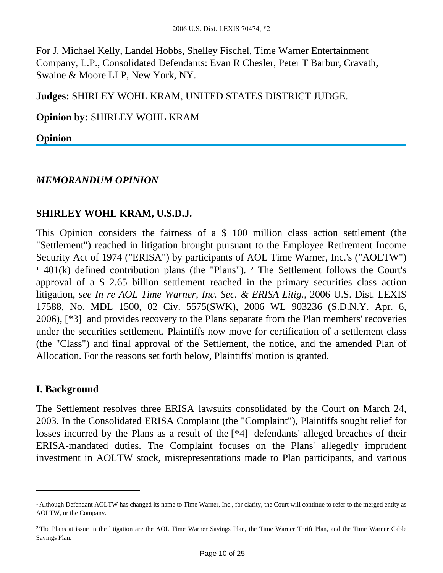For J. Michael Kelly, Landel Hobbs, Shelley Fischel, Time Warner Entertainment Company, L.P., Consolidated Defendants: Evan R Chesler, Peter T Barbur, Cravath, Swaine & Moore LLP, New York, NY.

**Judges:** SHIRLEY WOHL KRAM, UNITED STATES DISTRICT JUDGE.

**Opinion by:** SHIRLEY WOHL KRAM

**Opinion**

### *MEMORANDUM OPINION*

### **SHIRLEY WOHL KRAM, U.S.D.J.**

This Opinion considers the fairness of a \$ 100 million class action settlement (the "Settlement") reached in litigation brought pursuant to the Employee Retirement Income Security Act of 1974 ("ERISA") by participants of AOL Time Warner, Inc.'s ("AOLTW") <sup>1</sup> 401(k) defined contribution plans (the "Plans"). <sup>2</sup> The Settlement follows the Court's approval of a \$ 2.65 billion settlement reached in the primary securities class action litigation, *see In re AOL Time Warner, Inc. Sec. & ERISA Litig.,* 2006 U.S. Dist. LEXIS 17588, No. MDL 1500, 02 Civ. 5575(SWK), 2006 WL 903236 (S.D.N.Y. Apr. 6, 2006), [\*3] and provides recovery to the Plans separate from the Plan members' recoveries under the securities settlement. Plaintiffs now move for certification of a settlement class (the "Class") and final approval of the Settlement, the notice, and the amended Plan of Allocation. For the reasons set forth below, Plaintiffs' motion is granted.

#### **I. Background**

The Settlement resolves three ERISA lawsuits consolidated by the Court on March 24, 2003. In the Consolidated ERISA Complaint (the "Complaint"), Plaintiffs sought relief for losses incurred by the Plans as a result of the [\*4] defendants' alleged breaches of their ERISA-mandated duties. The Complaint focuses on the Plans' allegedly imprudent investment in AOLTW stock, misrepresentations made to Plan participants, and various

<sup>&</sup>lt;sup>1</sup> Although Defendant AOLTW has changed its name to Time Warner, Inc., for clarity, the Court will continue to refer to the merged entity as AOLTW, or the Company.

<sup>&</sup>lt;sup>2</sup>The Plans at issue in the litigation are the AOL Time Warner Savings Plan, the Time Warner Thrift Plan, and the Time Warner Cable Savings Plan.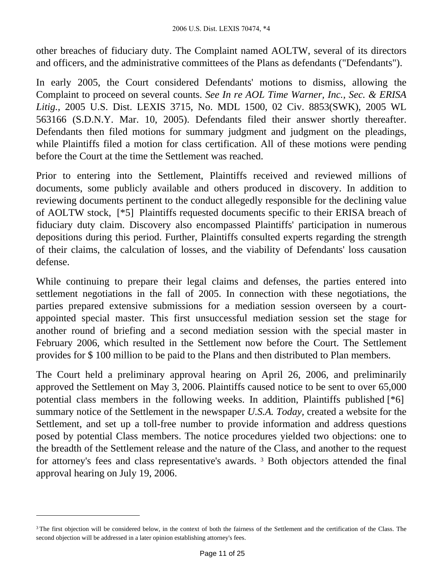other breaches of fiduciary duty. The Complaint named AOLTW, several of its directors and officers, and the administrative committees of the Plans as defendants ("Defendants").

In early 2005, the Court considered Defendants' motions to dismiss, allowing the Complaint to proceed on several counts. *See In re AOL Time Warner, Inc., Sec. & ERISA Litig.,* 2005 U.S. Dist. LEXIS 3715, No. MDL 1500, 02 Civ. 8853(SWK), 2005 WL 563166 (S.D.N.Y. Mar. 10, 2005). Defendants filed their answer shortly thereafter. Defendants then filed motions for summary judgment and judgment on the pleadings, while Plaintiffs filed a motion for class certification. All of these motions were pending before the Court at the time the Settlement was reached.

Prior to entering into the Settlement, Plaintiffs received and reviewed millions of documents, some publicly available and others produced in discovery. In addition to reviewing documents pertinent to the conduct allegedly responsible for the declining value of AOLTW stock, [\*5] Plaintiffs requested documents specific to their ERISA breach of fiduciary duty claim. Discovery also encompassed Plaintiffs' participation in numerous depositions during this period. Further, Plaintiffs consulted experts regarding the strength of their claims, the calculation of losses, and the viability of Defendants' loss causation defense.

While continuing to prepare their legal claims and defenses, the parties entered into settlement negotiations in the fall of 2005. In connection with these negotiations, the parties prepared extensive submissions for a mediation session overseen by a courtappointed special master. This first unsuccessful mediation session set the stage for another round of briefing and a second mediation session with the special master in February 2006, which resulted in the Settlement now before the Court. The Settlement provides for \$ 100 million to be paid to the Plans and then distributed to Plan members.

The Court held a preliminary approval hearing on April 26, 2006, and preliminarily approved the Settlement on May 3, 2006. Plaintiffs caused notice to be sent to over 65,000 potential class members in the following weeks. In addition, Plaintiffs published [\*6] summary notice of the Settlement in the newspaper *U.S.A. Today,* created a website for the Settlement, and set up a toll-free number to provide information and address questions posed by potential Class members. The notice procedures yielded two objections: one to the breadth of the Settlement release and the nature of the Class, and another to the request for attorney's fees and class representative's awards.<sup>3</sup> Both objectors attended the final approval hearing on July 19, 2006.

<sup>&</sup>lt;sup>3</sup>The first objection will be considered below, in the context of both the fairness of the Settlement and the certification of the Class. The second objection will be addressed in a later opinion establishing attorney's fees.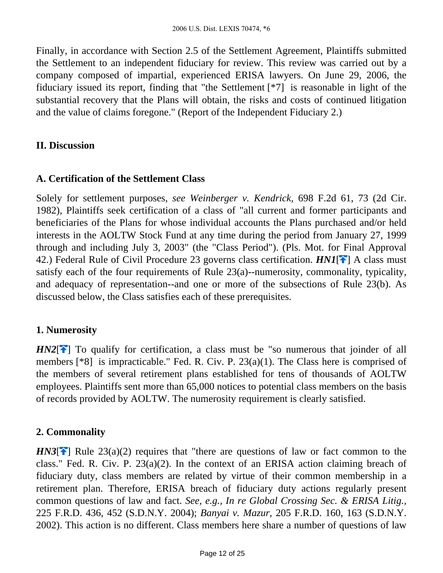Finally, in accordance with Section 2.5 of the Settlement Agreement, Plaintiffs submitted the Settlement to an independent fiduciary for review. This review was carried out by a company composed of impartial, experienced ERISA lawyers. On June 29, 2006, the fiduciary issued its report, finding that "the Settlement [\*7] is reasonable in light of the substantial recovery that the Plans will obtain, the risks and costs of continued litigation and the value of claims foregone." (Report of the Independent Fiduciary 2.)

#### **II. Discussion**

## **A. Certification of the Settlement Class**

Solely for settlement purposes, *see Weinberger v. Kendrick,* 698 F.2d 61, 73 (2d Cir. 1982), Plaintiffs seek certification of a class of "all current and former participants and beneficiaries of the Plans for whose individual accounts the Plans purchased and/or held interests in the AOLTW Stock Fund at any time during the period from January 27, 1999 through and including July 3, 2003" (the "Class Period"). (Pls. Mot. for Final Approval 42.) Federal Rule of Civil Procedure 23 governs class certification. *HN1*[\[](#page-1-0)<sup>2</sup>] A class must satisfy each of the four requirements of Rule 23(a)--numerosity, commonality, typicality, and adequacy of representation--and one or more of the subsections of Rule 23(b). As discussed below, the Class satisfies each of these prerequisites.

## **1. Numerosity**

*HN2*<sup>[ $\uparrow$ </sup>] To qualify for certification, a class must be "so numerous that joinder of all members [\*8] is impracticable." Fed. R. Civ. P. 23(a)(1). The Class here is comprised of the members of several retirement plans established for tens of thousands of AOLTW employees. Plaintiffs sent more than 65,000 notices to potential class members on the basis of records provided by AOLTW. The numerosity requirement is clearly satisfied.

## **2. Commonality**

*HN3*<sup> $\uparrow$ </sup> Rule 23(a)(2) requires that "there are questions of law or fact common to the class." Fed. R. Civ. P. 23(a)(2). In the context of an ERISA action claiming breach of fiduciary duty, class members are related by virtue of their common membership in a retirement plan. Therefore, ERISA breach of fiduciary duty actions regularly present common questions of law and fact. *See, e.g., In re Global Crossing Sec. & ERISA Litig.,* 225 F.R.D. 436, 452 (S.D.N.Y. 2004); *Banyai v. Mazur,* 205 F.R.D. 160, 163 (S.D.N.Y. 2002). This action is no different. Class members here share a number of questions of law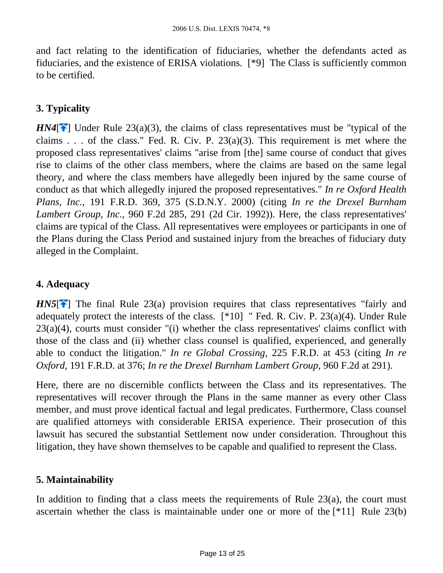and fact relating to the identification of fiduciaries, whether the defendants acted as fiduciaries, and the existence of ERISA violations. [\*9] The Class is sufficiently common to be certified.

# **3. Typicality**

*HN4*<sup> $\uparrow$ </sup>] Under Rule 23(a)(3), the claims of class representatives must be "typical of the claims . . . of the class." Fed. R. Civ. P.  $23(a)(3)$ . This requirement is met where the proposed class representatives' claims "arise from [the] same course of conduct that gives rise to claims of the other class members, where the claims are based on the same legal theory, and where the class members have allegedly been injured by the same course of conduct as that which allegedly injured the proposed representatives." *In re Oxford Health Plans, Inc.,* 191 F.R.D. 369, 375 (S.D.N.Y. 2000) (citing *In re the Drexel Burnham Lambert Group, Inc.,* 960 F.2d 285, 291 (2d Cir. 1992)). Here, the class representatives' claims are typical of the Class. All representatives were employees or participants in one of the Plans during the Class Period and sustained injury from the breaches of fiduciary duty alleged in the Complaint.

# **4. Adequacy**

*HN5* $[$ <sup> $\bullet$ </sup>] The final Rule 23(a) provision requires that class representatives "fairly and adequately protect the interests of the class. [\*10] " Fed. R. Civ. P. 23(a)(4). Under Rule  $23(a)(4)$ , courts must consider "(i) whether the class representatives' claims conflict with those of the class and (ii) whether class counsel is qualified, experienced, and generally able to conduct the litigation." *In re Global Crossing,* 225 F.R.D. at 453 (citing *In re Oxford,* 191 F.R.D. at 376; *In re the Drexel Burnham Lambert Group,* 960 F.2d at 291).

Here, there are no discernible conflicts between the Class and its representatives. The representatives will recover through the Plans in the same manner as every other Class member, and must prove identical factual and legal predicates. Furthermore, Class counsel are qualified attorneys with considerable ERISA experience. Their prosecution of this lawsuit has secured the substantial Settlement now under consideration. Throughout this litigation, they have shown themselves to be capable and qualified to represent the Class.

#### **5. Maintainability**

In addition to finding that a class meets the requirements of Rule  $23(a)$ , the court must ascertain whether the class is maintainable under one or more of the [\*11] Rule 23(b)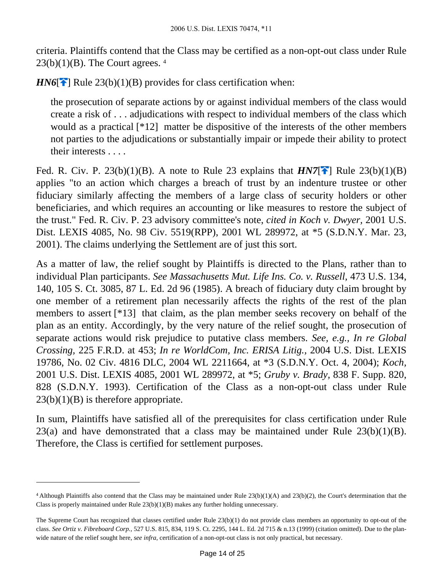criteria. Plaintiffs contend that the Class may be certified as a non-opt-out class under Rule  $23(b)(1)(B)$ . The Court agrees.  $4$ 

*HN6*[ $\uparrow$ ] Rule 23(b)(1)(B) provides for class certification when:

the prosecution of separate actions by or against individual members of the class would create a risk of . . . adjudications with respect to individual members of the class which would as a practical [\*12] matter be dispositive of the interests of the other members not parties to the adjudications or substantially impair or impede their ability to protect their interests . . . .

Fed. R. Civ. P. 23(b)(1)(B). A note to Rule 23 explains that  $H\rightarrow N7$ [ $\rightarrow$ ] Rule 23(b)(1)(B) applies "to an action which charges a breach of trust by an indenture trustee or other fiduciary similarly affecting the members of a large class of security holders or other beneficiaries, and which requires an accounting or like measures to restore the subject of the trust." Fed. R. Civ. P. 23 advisory committee's note, *cited in Koch v. Dwyer,* 2001 U.S. Dist. LEXIS 4085, No. 98 Civ. 5519(RPP), 2001 WL 289972, at \*5 (S.D.N.Y. Mar. 23, 2001). The claims underlying the Settlement are of just this sort.

As a matter of law, the relief sought by Plaintiffs is directed to the Plans, rather than to individual Plan participants. *See Massachusetts Mut. Life Ins. Co. v. Russell,* 473 U.S. 134, 140, 105 S. Ct. 3085, 87 L. Ed. 2d 96 (1985). A breach of fiduciary duty claim brought by one member of a retirement plan necessarily affects the rights of the rest of the plan members to assert [\*13] that claim, as the plan member seeks recovery on behalf of the plan as an entity. Accordingly, by the very nature of the relief sought, the prosecution of separate actions would risk prejudice to putative class members. *See, e.g., In re Global Crossing,* 225 F.R.D. at 453; *In re WorldCom, Inc. ERISA Litig.,* 2004 U.S. Dist. LEXIS 19786, No. 02 Civ. 4816 DLC, 2004 WL 2211664, at \*3 (S.D.N.Y. Oct. 4, 2004); *Koch,* 2001 U.S. Dist. LEXIS 4085, 2001 WL 289972, at \*5; *Gruby v. Brady,* 838 F. Supp. 820, 828 (S.D.N.Y. 1993). Certification of the Class as a non-opt-out class under Rule  $23(b)(1)(B)$  is therefore appropriate.

In sum, Plaintiffs have satisfied all of the prerequisites for class certification under Rule 23(a) and have demonstrated that a class may be maintained under Rule 23(b)(1)(B). Therefore, the Class is certified for settlement purposes.

<sup>4</sup>Although Plaintiffs also contend that the Class may be maintained under Rule 23(b)(1)(A) and 23(b)(2), the Court's determination that the Class is properly maintained under Rule 23(b)(1)(B) makes any further holding unnecessary.

The Supreme Court has recognized that classes certified under Rule 23(b)(1) do not provide class members an opportunity to opt-out of the class. *See Ortiz v. Fibreboard Corp.,* 527 U.S. 815, 834, 119 S. Ct. 2295, 144 L. Ed. 2d 715 & n.13 (1999) (citation omitted). Due to the planwide nature of the relief sought here, *see infra,* certification of a non-opt-out class is not only practical, but necessary.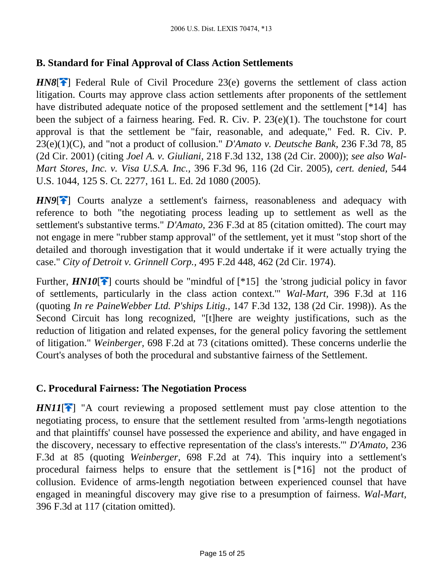## **B. Standard for Final Approval of Class Action Settlements**

*HN8*<sup>[ $\uparrow$ ] Federal Rule of Civil Procedure 23(e) governs the settlement of class action</sup> litigation. Courts may approve class action settlements after proponents of the settlement have distributed adequate notice of the proposed settlement and the settlement [\*14] has been the subject of a fairness hearing. Fed. R. Civ. P. 23(e)(1). The touchstone for court approval is that the settlement be "fair, reasonable, and adequate," Fed. R. Civ. P. 23(e)(1)(C), and "not a product of collusion." *D'Amato v. Deutsche Bank,* 236 F.3d 78, 85 (2d Cir. 2001) (citing *Joel A. v. Giuliani,* 218 F.3d 132, 138 (2d Cir. 2000)); *see also Wal-Mart Stores, Inc. v. Visa U.S.A. Inc.,* 396 F.3d 96, 116 (2d Cir. 2005), *cert. denied,* 544 U.S. 1044, 125 S. Ct. 2277, 161 L. Ed. 2d 1080 (2005).

*HN9*<sup>[ $\uparrow$ ] Courts analyze a settlement's fairness, reasonableness and adequacy with</sup> reference to both "the negotiating process leading up to settlement as well as the settlement's substantive terms." *D'Amato,* 236 F.3d at 85 (citation omitted). The court may not engage in mere "rubber stamp approval" of the settlement, yet it must "stop short of the detailed and thorough investigation that it would undertake if it were actually trying the case." *City of Detroit v. Grinnell Corp.,* 495 F.2d 448, 462 (2d Cir. 1974).

Further,  $HNI0$ [<sup> $\rightarrow$ </sup>[\]](#page-3-0) courts should be "mindful of [\*15] the 'strong judicial policy in favor of settlements, particularly in the class action context.'" *Wal-Mart,* 396 F.3d at 116 (quoting *In re PaineWebber Ltd. P'ships Litig.,* 147 F.3d 132, 138 (2d Cir. 1998)). As the Second Circuit has long recognized, "[t]here are weighty justifications, such as the reduction of litigation and related expenses, for the general policy favoring the settlement of litigation." *Weinberger,* 698 F.2d at 73 (citations omitted). These concerns underlie the Court's analyses of both the procedural and substantive fairness of the Settlement.

#### **C. Procedural Fairness: The Negotiation Process**

 $HNI1$ <sup>[ $\uparrow$ ]</sup> "A court reviewing a proposed settlement must pay close attention to the negotiating process, to ensure that the settlement resulted from 'arms-length negotiations and that plaintiffs' counsel have possessed the experience and ability, and have engaged in the discovery, necessary to effective representation of the class's interests.'" *D'Amato,* 236 F.3d at 85 (quoting *Weinberger,* 698 F.2d at 74). This inquiry into a settlement's procedural fairness helps to ensure that the settlement is [\*16] not the product of collusion. Evidence of arms-length negotiation between experienced counsel that have engaged in meaningful discovery may give rise to a presumption of fairness. *Wal-Mart,* 396 F.3d at 117 (citation omitted).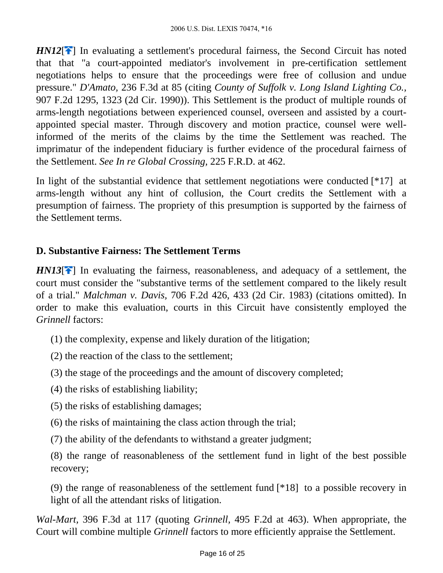*HN12*<sup>[2]</sup> In evaluating a settlement's procedural fairness, the Second Circuit has noted that that "a court-appointed mediator's involvement in pre-certification settlement negotiations helps to ensure that the proceedings were free of collusion and undue pressure." *D'Amato,* 236 F.3d at 85 (citing *County of Suffolk v. Long Island Lighting Co.,* 907 F.2d 1295, 1323 (2d Cir. 1990)). This Settlement is the product of multiple rounds of arms-length negotiations between experienced counsel, overseen and assisted by a courtappointed special master. Through discovery and motion practice, counsel were wellinformed of the merits of the claims by the time the Settlement was reached. The imprimatur of the independent fiduciary is further evidence of the procedural fairness of the Settlement. *See In re Global Crossing,* 225 F.R.D. at 462.

In light of the substantial evidence that settlement negotiations were conducted [\*17] at arms-length without any hint of collusion, the Court credits the Settlement with a presumption of fairness. The propriety of this presumption is supported by the fairness of the Settlement terms.

### **D. Substantive Fairness: The Settlement Terms**

*HN13*<sup>[2]</sup> In evaluating the fairness, reasonableness, and adequacy of a settlement, the court must consider the "substantive terms of the settlement compared to the likely result of a trial." *Malchman v. Davis,* 706 F.2d 426, 433 (2d Cir. 1983) (citations omitted). In order to make this evaluation, courts in this Circuit have consistently employed the *Grinnell* factors:

- (1) the complexity, expense and likely duration of the litigation;
- (2) the reaction of the class to the settlement;
- (3) the stage of the proceedings and the amount of discovery completed;
- (4) the risks of establishing liability;
- (5) the risks of establishing damages;
- (6) the risks of maintaining the class action through the trial;
- (7) the ability of the defendants to withstand a greater judgment;

(8) the range of reasonableness of the settlement fund in light of the best possible recovery;

(9) the range of reasonableness of the settlement fund [\*18] to a possible recovery in light of all the attendant risks of litigation.

*Wal-Mart,* 396 F.3d at 117 (quoting *Grinnell,* 495 F.2d at 463). When appropriate, the Court will combine multiple *Grinnell* factors to more efficiently appraise the Settlement.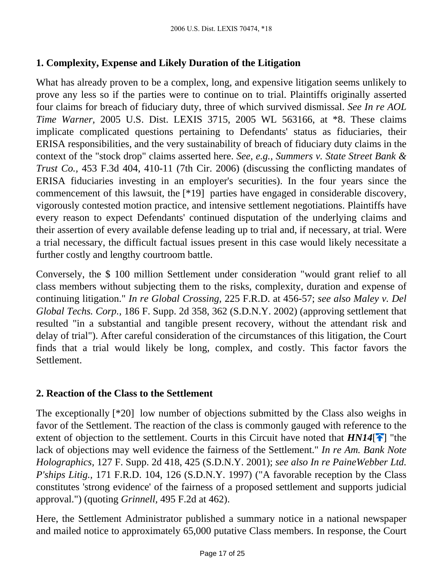# **1. Complexity, Expense and Likely Duration of the Litigation**

What has already proven to be a complex, long, and expensive litigation seems unlikely to prove any less so if the parties were to continue on to trial. Plaintiffs originally asserted four claims for breach of fiduciary duty, three of which survived dismissal. *See In re AOL Time Warner,* 2005 U.S. Dist. LEXIS 3715, 2005 WL 563166, at \*8. These claims implicate complicated questions pertaining to Defendants' status as fiduciaries, their ERISA responsibilities, and the very sustainability of breach of fiduciary duty claims in the context of the "stock drop" claims asserted here. *See, e.g., Summers v. State Street Bank & Trust Co.,* 453 F.3d 404, 410-11 (7th Cir. 2006) (discussing the conflicting mandates of ERISA fiduciaries investing in an employer's securities). In the four years since the commencement of this lawsuit, the [\*19] parties have engaged in considerable discovery, vigorously contested motion practice, and intensive settlement negotiations. Plaintiffs have every reason to expect Defendants' continued disputation of the underlying claims and their assertion of every available defense leading up to trial and, if necessary, at trial. Were a trial necessary, the difficult factual issues present in this case would likely necessitate a further costly and lengthy courtroom battle.

Conversely, the \$ 100 million Settlement under consideration "would grant relief to all class members without subjecting them to the risks, complexity, duration and expense of continuing litigation." *In re Global Crossing,* 225 F.R.D. at 456-57; *see also Maley v. Del Global Techs. Corp.,* 186 F. Supp. 2d 358, 362 (S.D.N.Y. 2002) (approving settlement that resulted "in a substantial and tangible present recovery, without the attendant risk and delay of trial"). After careful consideration of the circumstances of this litigation, the Court finds that a trial would likely be long, complex, and costly. This factor favors the Settlement.

## **2. Reaction of the Class to the Settlement**

The exceptionally [\*20] low number of objections submitted by the Class also weighs in favor of the Settlement. The reaction of the class is commonly gauged with reference to the extent of objection to the settlement. Courts in this Circuit have noted that  $HNI4$ <sup>[ $\uparrow$ </sup>] "the lack of objections may well evidence the fairness of the Settlement." *In re Am. Bank Note Holographics,* 127 F. Supp. 2d 418, 425 (S.D.N.Y. 2001); *see also In re PaineWebber Ltd. P'ships Litig.,* 171 F.R.D. 104, 126 (S.D.N.Y. 1997) ("A favorable reception by the Class constitutes 'strong evidence' of the fairness of a proposed settlement and supports judicial approval.") (quoting *Grinnell,* 495 F.2d at 462).

Here, the Settlement Administrator published a summary notice in a national newspaper and mailed notice to approximately 65,000 putative Class members. In response, the Court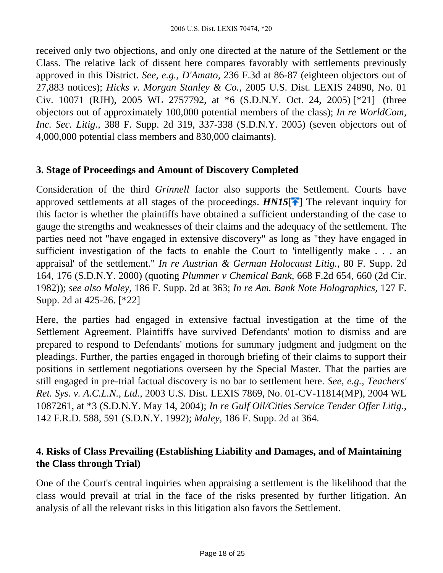received only two objections, and only one directed at the nature of the Settlement or the Class. The relative lack of dissent here compares favorably with settlements previously approved in this District. *See, e.g., D'Amato,* 236 F.3d at 86-87 (eighteen objectors out of 27,883 notices); *Hicks v. Morgan Stanley & Co.,* 2005 U.S. Dist. LEXIS 24890, No. 01 Civ. 10071 (RJH), 2005 WL 2757792, at \*6 (S.D.N.Y. Oct. 24, 2005) [\*21] (three objectors out of approximately 100,000 potential members of the class); *In re WorldCom, Inc. Sec. Litig.,* 388 F. Supp. 2d 319, 337-338 (S.D.N.Y. 2005) (seven objectors out of 4,000,000 potential class members and 830,000 claimants).

#### **3. Stage of Proceedings and Amount of Discovery Completed**

Consideration of the third *Grinnell* factor also supports the Settlement. Courts have approved settlements at all stages of the proceedings.  $HNI5$ <sup>[ $\uparrow$ </sup>[\]](#page-5-0) The relevant inquiry for this factor is whether the plaintiffs have obtained a sufficient understanding of the case to gauge the strengths and weaknesses of their claims and the adequacy of the settlement. The parties need not "have engaged in extensive discovery" as long as "they have engaged in sufficient investigation of the facts to enable the Court to 'intelligently make . . . an appraisal' of the settlement." *In re Austrian & German Holocaust Litig.,* 80 F. Supp. 2d 164, 176 (S.D.N.Y. 2000) (quoting *Plummer v Chemical Bank,* 668 F.2d 654, 660 (2d Cir. 1982)); *see also Maley,* 186 F. Supp. 2d at 363; *In re Am. Bank Note Holographics,* 127 F. Supp. 2d at 425-26. [\*22]

Here, the parties had engaged in extensive factual investigation at the time of the Settlement Agreement. Plaintiffs have survived Defendants' motion to dismiss and are prepared to respond to Defendants' motions for summary judgment and judgment on the pleadings. Further, the parties engaged in thorough briefing of their claims to support their positions in settlement negotiations overseen by the Special Master. That the parties are still engaged in pre-trial factual discovery is no bar to settlement here. *See, e.g., Teachers' Ret. Sys. v. A.C.L.N., Ltd.,* 2003 U.S. Dist. LEXIS 7869, No. 01-CV-11814(MP), 2004 WL 1087261, at \*3 (S.D.N.Y. May 14, 2004); *In re Gulf Oil/Cities Service Tender Offer Litig.,* 142 F.R.D. 588, 591 (S.D.N.Y. 1992); *Maley,* 186 F. Supp. 2d at 364.

## **4. Risks of Class Prevailing (Establishing Liability and Damages, and of Maintaining the Class through Trial)**

One of the Court's central inquiries when appraising a settlement is the likelihood that the class would prevail at trial in the face of the risks presented by further litigation. An analysis of all the relevant risks in this litigation also favors the Settlement.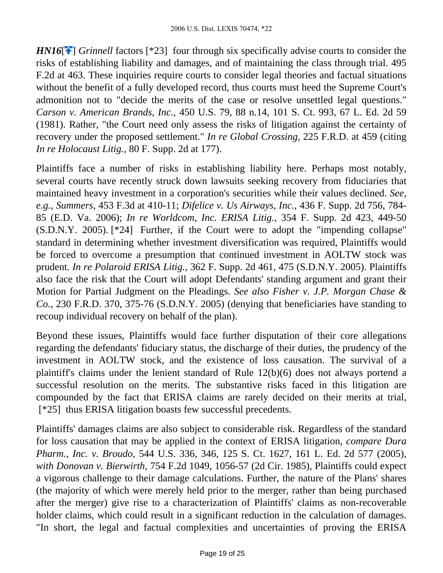*HN16*<sup>[2]</sup> *Grinnell* factors [\*23] four through six specifically advise courts to consider the risks of establishing liability and damages, and of maintaining the class through trial. 495 F.2d at 463. These inquiries require courts to consider legal theories and factual situations without the benefit of a fully developed record, thus courts must heed the Supreme Court's admonition not to "decide the merits of the case or resolve unsettled legal questions." *Carson v. American Brands, Inc.,* 450 U.S. 79, 88 n.14, 101 S. Ct. 993, 67 L. Ed. 2d 59 (1981). Rather, "the Court need only assess the risks of litigation against the certainty of recovery under the proposed settlement." *In re Global Crossing,* 225 F.R.D. at 459 (citing *In re Holocaust Litig.,* 80 F. Supp. 2d at 177).

Plaintiffs face a number of risks in establishing liability here. Perhaps most notably, several courts have recently struck down lawsuits seeking recovery from fiduciaries that maintained heavy investment in a corporation's securities while their values declined. *See, e.g., Summers,* 453 F.3d at 410-11; *Difelice v. Us Airways, Inc.,* 436 F. Supp. 2d 756, 784- 85 (E.D. Va. 2006); *In re Worldcom, Inc. ERISA Litig.,* 354 F. Supp. 2d 423, 449-50 (S.D.N.Y. 2005). [\*24] Further, if the Court were to adopt the "impending collapse" standard in determining whether investment diversification was required, Plaintiffs would be forced to overcome a presumption that continued investment in AOLTW stock was prudent. *In re Polaroid ERISA Litig.,* 362 F. Supp. 2d 461, 475 (S.D.N.Y. 2005). Plaintiffs also face the risk that the Court will adopt Defendants' standing argument and grant their Motion for Partial Judgment on the Pleadings. *See also Fisher v. J.P. Morgan Chase & Co.,* 230 F.R.D. 370, 375-76 (S.D.N.Y. 2005) (denying that beneficiaries have standing to recoup individual recovery on behalf of the plan).

Beyond these issues, Plaintiffs would face further disputation of their core allegations regarding the defendants' fiduciary status, the discharge of their duties, the prudency of the investment in AOLTW stock, and the existence of loss causation. The survival of a plaintiff's claims under the lenient standard of Rule 12(b)(6) does not always portend a successful resolution on the merits. The substantive risks faced in this litigation are compounded by the fact that ERISA claims are rarely decided on their merits at trial, [\*25] thus ERISA litigation boasts few successful precedents.

Plaintiffs' damages claims are also subject to considerable risk. Regardless of the standard for loss causation that may be applied in the context of ERISA litigation, *compare Dura Pharm., Inc. v. Broudo,* 544 U.S. 336, 346, 125 S. Ct. 1627, 161 L. Ed. 2d 577 (2005), *with Donovan v. Bierwirth,* 754 F.2d 1049, 1056-57 (2d Cir. 1985), Plaintiffs could expect a vigorous challenge to their damage calculations. Further, the nature of the Plans' shares (the majority of which were merely held prior to the merger, rather than being purchased after the merger) give rise to a characterization of Plaintiffs' claims as non-recoverable holder claims, which could result in a significant reduction in the calculation of damages. "In short, the legal and factual complexities and uncertainties of proving the ERISA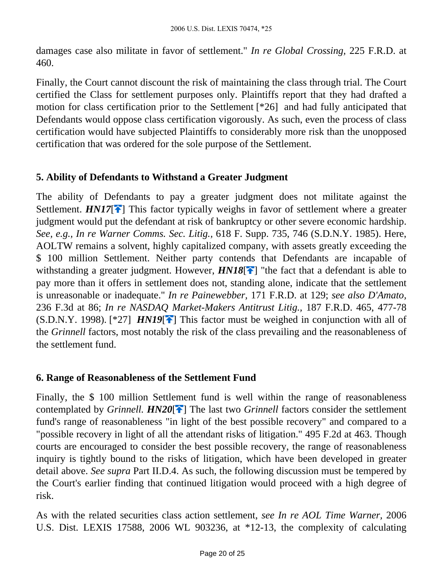damages case also militate in favor of settlement." *In re Global Crossing,* 225 F.R.D. at 460.

Finally, the Court cannot discount the risk of maintaining the class through trial. The Court certified the Class for settlement purposes only. Plaintiffs report that they had drafted a motion for class certification prior to the Settlement [\*26] and had fully anticipated that Defendants would oppose class certification vigorously. As such, even the process of class certification would have subjected Plaintiffs to considerably more risk than the unopposed certification that was ordered for the sole purpose of the Settlement.

## **5. Ability of Defendants to Withstand a Greater Judgment**

The ability of Defendants to pay a greater judgment does not militate against the Settlement. *HN17*<sup> $\leftarrow$ </sup>] This factor typically weighs in favor of settlement where a greater judgment would put the defendant at risk of bankruptcy or other severe economic hardship. *See, e.g., In re Warner Comms. Sec. Litig.,* 618 F. Supp. 735, 746 (S.D.N.Y. 1985). Here, AOLTW remains a solvent, highly capitalized company, with assets greatly exceeding the \$ 100 million Settlement. Neither party contends that Defendants are incapable of withstanding a greater judgment. However,  $HNI8[\hat{\uparrow}]$  "the fact that a defendant is able to pay more than it offers in settlement does not, standing alone, indicate that the settlement is unreasonable or inadequate." *In re Painewebber,* 171 F.R.D. at 129; *see also D'Amato,* 236 F.3d at 86; *In re NASDAQ Market-Makers Antitrust Litig.,* 187 F.R.D. 465, 477-78  $(S.D.N.Y. 1998)$ . [\*27] *HN19*<sup>[ $\rightarrow$ </sup>] This factor must be weighed in conjunction with all of the *Grinnell* factors, most notably the risk of the class prevailing and the reasonableness of the settlement fund.

## **6. Range of Reasonableness of the Settlement Fund**

Finally, the \$ 100 million Settlement fund is well within the range of reasonableness contemplated by *Grinnell. HN20***<sup>[4]</sup>** The last two *Grinnell* factors consider the settlement fund's range of reasonableness "in light of the best possible recovery" and compared to a "possible recovery in light of all the attendant risks of litigation." 495 F.2d at 463. Though courts are encouraged to consider the best possible recovery, the range of reasonableness inquiry is tightly bound to the risks of litigation, which have been developed in greater detail above. *See supra* Part II.D.4. As such, the following discussion must be tempered by the Court's earlier finding that continued litigation would proceed with a high degree of risk.

As with the related securities class action settlement, *see In re AOL Time Warner,* 2006 U.S. Dist. LEXIS 17588, 2006 WL 903236, at \*12-13, the complexity of calculating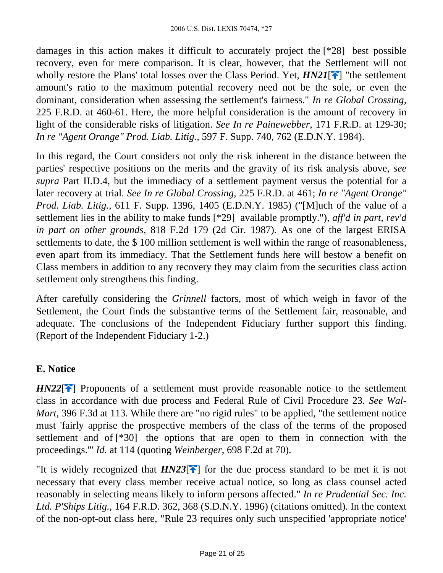damages in this action makes it difficult to accurately project the [\*28] best possible recovery, even for mere comparison. It is clear, however, that the Settlement will not wholly restore the Plans' total losses over the Class Period. Yet,  $H N21$ <sup>[ $\rightarrow$ </sup>] "the settlement amount's ratio to the maximum potential recovery need not be the sole, or even the dominant, consideration when assessing the settlement's fairness." *In re Global Crossing,* 225 F.R.D. at 460-61. Here, the more helpful consideration is the amount of recovery in light of the considerable risks of litigation. *See In re Painewebber,* 171 F.R.D. at 129-30; *In re "Agent Orange" Prod. Liab. Litig.,* 597 F. Supp. 740, 762 (E.D.N.Y. 1984).

In this regard, the Court considers not only the risk inherent in the distance between the parties' respective positions on the merits and the gravity of its risk analysis above, *see supra* Part II.D.4, but the immediacy of a settlement payment versus the potential for a later recovery at trial. *See In re Global Crossing,* 225 F.R.D. at 461; *In re "Agent Orange" Prod. Liab. Litig.,* 611 F. Supp. 1396, 1405 (E.D.N.Y. 1985) ("[M]uch of the value of a settlement lies in the ability to make funds [\*29] available promptly."), *aff'd in part, rev'd in part on other grounds,* 818 F.2d 179 (2d Cir. 1987). As one of the largest ERISA settlements to date, the \$100 million settlement is well within the range of reasonableness, even apart from its immediacy. That the Settlement funds here will bestow a benefit on Class members in addition to any recovery they may claim from the securities class action settlement only strengthens this finding.

After carefully considering the *Grinnell* factors, most of which weigh in favor of the Settlement, the Court finds the substantive terms of the Settlement fair, reasonable, and adequate. The conclusions of the Independent Fiduciary further support this finding. (Report of the Independent Fiduciary 1-2.)

## **E. Notice**

*HN22*<sup>[4]</sup> Proponents of a settlement must provide reasonable notice to the settlement class in accordance with due process and Federal Rule of Civil Procedure 23. *See Wal-Mart,* 396 F.3d at 113. While there are "no rigid rules" to be applied, "the settlement notice must 'fairly apprise the prospective members of the class of the terms of the proposed settlement and of [\*30] the options that are open to them in connection with the proceedings.'" *Id.* at 114 (quoting *Weinberger,* 698 F.2d at 70).

"It is widely recognized that  $H N 23$ <sup>[ $\rightarrow$ </sup>] for the due process standard to be met it is not necessary that every class member receive actual notice, so long as class counsel acted reasonably in selecting means likely to inform persons affected." *In re Prudential Sec. Inc. Ltd. P'Ships Litig.,* 164 F.R.D. 362, 368 (S.D.N.Y. 1996) (citations omitted). In the context of the non-opt-out class here, "Rule 23 requires only such unspecified 'appropriate notice'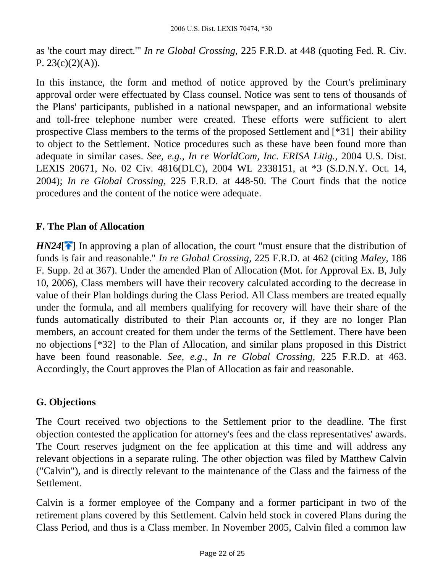as 'the court may direct.'" *In re Global Crossing,* 225 F.R.D. at 448 (quoting Fed. R. Civ. P.  $23(c)(2)(A)$ ).

In this instance, the form and method of notice approved by the Court's preliminary approval order were effectuated by Class counsel. Notice was sent to tens of thousands of the Plans' participants, published in a national newspaper, and an informational website and toll-free telephone number were created. These efforts were sufficient to alert prospective Class members to the terms of the proposed Settlement and [\*31] their ability to object to the Settlement. Notice procedures such as these have been found more than adequate in similar cases. *See, e.g., In re WorldCom, Inc. ERISA Litig.,* 2004 U.S. Dist. LEXIS 20671, No. 02 Civ. 4816(DLC), 2004 WL 2338151, at \*3 (S.D.N.Y. Oct. 14, 2004); *In re Global Crossing,* 225 F.R.D. at 448-50. The Court finds that the notice procedures and the content of the notice were adequate.

## **F. The Plan of Allocation**

 $H N24$ [ $\uparrow$ ] In approving a plan of allocation, the court "must ensure that the distribution of funds is fair and reasonable." *In re Global Crossing,* 225 F.R.D. at 462 (citing *Maley,* 186 F. Supp. 2d at 367). Under the amended Plan of Allocation (Mot. for Approval Ex. B, July 10, 2006), Class members will have their recovery calculated according to the decrease in value of their Plan holdings during the Class Period. All Class members are treated equally under the formula, and all members qualifying for recovery will have their share of the funds automatically distributed to their Plan accounts or, if they are no longer Plan members, an account created for them under the terms of the Settlement. There have been no objections [\*32] to the Plan of Allocation, and similar plans proposed in this District have been found reasonable. *See, e.g., In re Global Crossing,* 225 F.R.D. at 463. Accordingly, the Court approves the Plan of Allocation as fair and reasonable.

## **G. Objections**

The Court received two objections to the Settlement prior to the deadline. The first objection contested the application for attorney's fees and the class representatives' awards. The Court reserves judgment on the fee application at this time and will address any relevant objections in a separate ruling. The other objection was filed by Matthew Calvin ("Calvin"), and is directly relevant to the maintenance of the Class and the fairness of the Settlement.

Calvin is a former employee of the Company and a former participant in two of the retirement plans covered by this Settlement. Calvin held stock in covered Plans during the Class Period, and thus is a Class member. In November 2005, Calvin filed a common law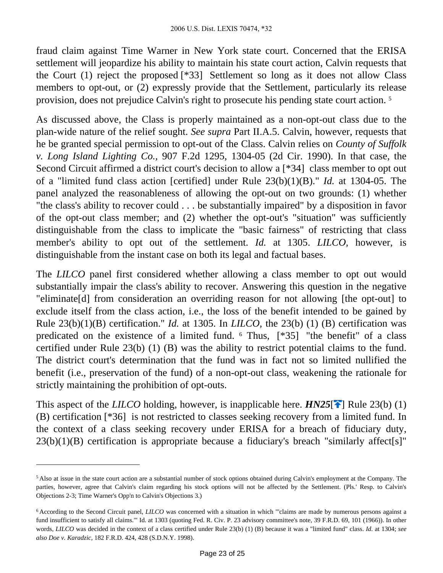fraud claim against Time Warner in New York state court. Concerned that the ERISA settlement will jeopardize his ability to maintain his state court action, Calvin requests that the Court (1) reject the proposed [\*33] Settlement so long as it does not allow Class members to opt-out, or (2) expressly provide that the Settlement, particularly its release provision, does not prejudice Calvin's right to prosecute his pending state court action. <sup>5</sup>

As discussed above, the Class is properly maintained as a non-opt-out class due to the plan-wide nature of the relief sought. *See supra* Part II.A.5. Calvin, however, requests that he be granted special permission to opt-out of the Class. Calvin relies on *County of Suffolk v. Long Island Lighting Co.,* 907 F.2d 1295, 1304-05 (2d Cir. 1990). In that case, the Second Circuit affirmed a district court's decision to allow a [\*34] class member to opt out of a "limited fund class action [certified] under Rule 23(b)(1)(B)." *Id.* at 1304-05. The panel analyzed the reasonableness of allowing the opt-out on two grounds: (1) whether "the class's ability to recover could . . . be substantially impaired" by a disposition in favor of the opt-out class member; and (2) whether the opt-out's "situation" was sufficiently distinguishable from the class to implicate the "basic fairness" of restricting that class member's ability to opt out of the settlement. *Id.* at 1305. *LILCO,* however, is distinguishable from the instant case on both its legal and factual bases.

The *LILCO* panel first considered whether allowing a class member to opt out would substantially impair the class's ability to recover. Answering this question in the negative "eliminate[d] from consideration an overriding reason for not allowing [the opt-out] to exclude itself from the class action, i.e., the loss of the benefit intended to be gained by Rule 23(b)(1)(B) certification." *Id.* at 1305. In *LILCO,* the 23(b) (1) (B) certification was predicated on the existence of a limited fund. <sup>6</sup> Thus, [\*35] "the benefit" of a class certified under Rule 23(b) (1) (B) was the ability to restrict potential claims to the fund. The district court's determination that the fund was in fact not so limited nullified the benefit (i.e., preservation of the fund) of a non-opt-out class, weakening the rationale for strictly maintaining the prohibition of opt-outs.

This aspect of the *LILCO* holding, however, is inapplicable here.  $H N25$ [ $\uparrow$ ] Rule 23(b) (1) (B) certification [\*36] is not restricted to classes seeking recovery from a limited fund. In the context of a class seeking recovery under ERISA for a breach of fiduciary duty,  $23(b)(1)(B)$  certification is appropriate because a fiduciary's breach "similarly affect[s]"

<sup>5</sup>Also at issue in the state court action are a substantial number of stock options obtained during Calvin's employment at the Company. The parties, however, agree that Calvin's claim regarding his stock options will not be affected by the Settlement. (Pls.' Resp. to Calvin's Objections 2-3; Time Warner's Opp'n to Calvin's Objections 3.)

<sup>6</sup>According to the Second Circuit panel, *LILCO* was concerned with a situation in which "'claims are made by numerous persons against a fund insufficient to satisfy all claims.'" Id. at 1303 (quoting Fed. R. Civ. P. 23 advisory committee's note, 39 F.R.D. 69, 101 (1966)). In other words, *LILCO* was decided in the context of a class certified under Rule 23(b) (1) (B) because it was a "limited fund" class. *Id.* at 1304; *see also Doe v. Karadzic,* 182 F.R.D. 424, 428 (S.D.N.Y. 1998).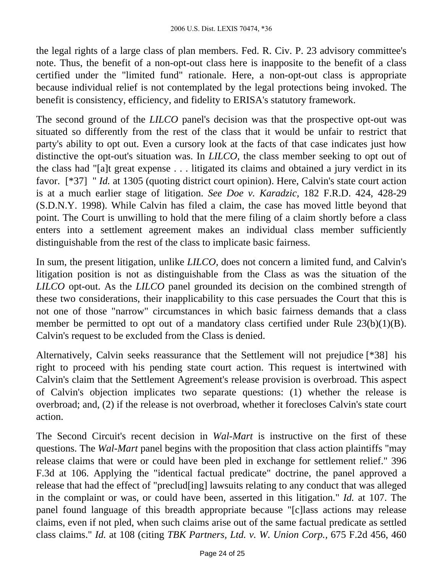the legal rights of a large class of plan members. Fed. R. Civ. P. 23 advisory committee's note. Thus, the benefit of a non-opt-out class here is inapposite to the benefit of a class certified under the "limited fund" rationale. Here, a non-opt-out class is appropriate because individual relief is not contemplated by the legal protections being invoked. The benefit is consistency, efficiency, and fidelity to ERISA's statutory framework.

The second ground of the *LILCO* panel's decision was that the prospective opt-out was situated so differently from the rest of the class that it would be unfair to restrict that party's ability to opt out. Even a cursory look at the facts of that case indicates just how distinctive the opt-out's situation was. In *LILCO,* the class member seeking to opt out of the class had "[a]t great expense . . . litigated its claims and obtained a jury verdict in its favor. [\*37] " *Id.* at 1305 (quoting district court opinion). Here, Calvin's state court action is at a much earlier stage of litigation. *See Doe v. Karadzic,* 182 F.R.D. 424, 428-29 (S.D.N.Y. 1998). While Calvin has filed a claim, the case has moved little beyond that point. The Court is unwilling to hold that the mere filing of a claim shortly before a class enters into a settlement agreement makes an individual class member sufficiently distinguishable from the rest of the class to implicate basic fairness.

In sum, the present litigation, unlike *LILCO,* does not concern a limited fund, and Calvin's litigation position is not as distinguishable from the Class as was the situation of the *LILCO* opt-out. As the *LILCO* panel grounded its decision on the combined strength of these two considerations, their inapplicability to this case persuades the Court that this is not one of those "narrow" circumstances in which basic fairness demands that a class member be permitted to opt out of a mandatory class certified under Rule 23(b)(1)(B). Calvin's request to be excluded from the Class is denied.

Alternatively, Calvin seeks reassurance that the Settlement will not prejudice [\*38] his right to proceed with his pending state court action. This request is intertwined with Calvin's claim that the Settlement Agreement's release provision is overbroad. This aspect of Calvin's objection implicates two separate questions: (1) whether the release is overbroad; and, (2) if the release is not overbroad, whether it forecloses Calvin's state court action.

The Second Circuit's recent decision in *Wal-Mart* is instructive on the first of these questions. The *Wal-Mart* panel begins with the proposition that class action plaintiffs "may release claims that were or could have been pled in exchange for settlement relief." 396 F.3d at 106. Applying the "identical factual predicate" doctrine, the panel approved a release that had the effect of "preclud[ing] lawsuits relating to any conduct that was alleged in the complaint or was, or could have been, asserted in this litigation." *Id.* at 107. The panel found language of this breadth appropriate because "[c]lass actions may release claims, even if not pled, when such claims arise out of the same factual predicate as settled class claims." *Id.* at 108 (citing *TBK Partners, Ltd. v. W. Union Corp.,* 675 F.2d 456, 460